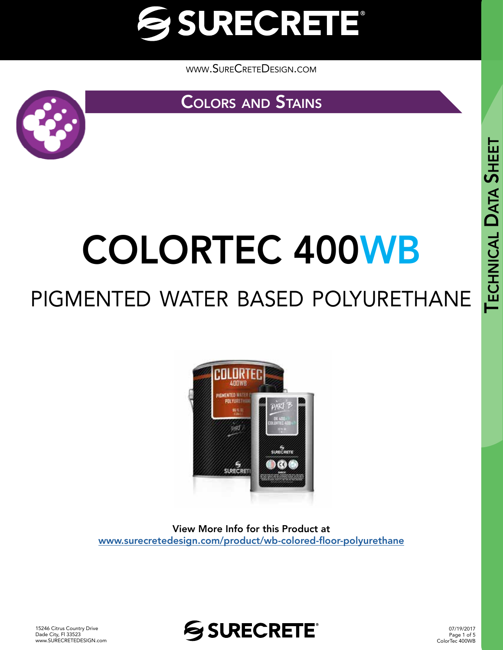

[www.SureCreteDesign.com](http://www.surecretedesign.com)

**COLORS AND STAINS** 



## COLORTEC 400WB

### pigmented water based polyurethane



View More Info for this Product at [www.surecretedesign.com/product/wb-colored-floor-polyurethane](https://www.surecretedesign.com/product/wb-colored-floor-polyurethane/)



07/19/2017 Page 1 of 5 ColorTec 400WB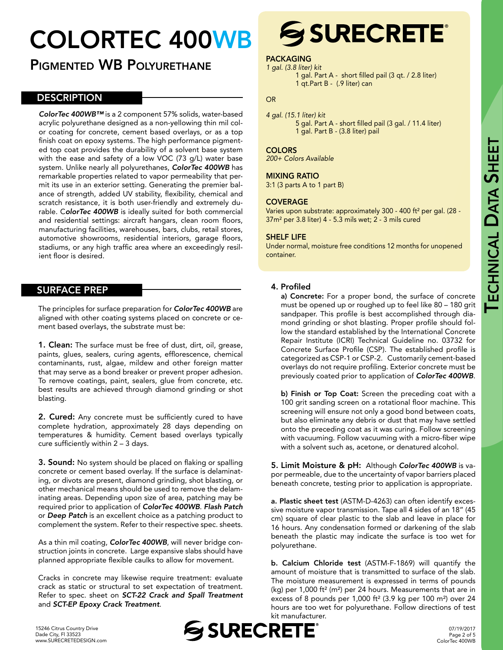# TECHNICAL DATA

## COLORTEC 400WB

#### PIGMENTED WB POLYURETHANE

#### **DESCRIPTION**

*ColorTec 400WB™* is a 2 component 57% solids, water-based acrylic polyurethane designed as a non-yellowing thin mil color coating for concrete, cement based overlays, or as a top finish coat on epoxy systems. The high performance pigmented top coat provides the durability of a solvent base system with the ease and safety of a low VOC (73 g/L) water base system. Unlike nearly all polyurethanes, *ColorTec 400WB* has remarkable properties related to vapor permeability that permit its use in an exterior setting. Generating the premier balance of strength, added UV stability, flexibility, chemical and scratch resistance, it is both user-friendly and extremely durable. C*olorTec 400WB* is ideally suited for both commercial and residential settings: aircraft hangars, clean room floors, manufacturing facilities, warehouses, bars, clubs, retail stores, automotive showrooms, residential interiors, garage floors, stadiums, or any high traffic area where an exceedingly resilient floor is desired.

#### SURFACE PREP

The principles for surface preparation for *ColorTec 400WB* are aligned with other coating systems placed on concrete or cement based overlays, the substrate must be:

1. Clean: The surface must be free of dust, dirt, oil, grease, paints, glues, sealers, curing agents, efflorescence, chemical contaminants, rust, algae, mildew and other foreign matter that may serve as a bond breaker or prevent proper adhesion. To remove coatings, paint, sealers, glue from concrete, etc. best results are achieved through diamond grinding or shot blasting.

**2. Cured:** Any concrete must be sufficiently cured to have complete hydration, approximately 28 days depending on temperatures & humidity. Cement based overlays typically cure sufficiently within 2 – 3 days.

**3. Sound:** No system should be placed on flaking or spalling concrete or cement based overlay. If the surface is delaminating, or divots are present, diamond grinding, shot blasting, or other mechanical means should be used to remove the delaminating areas. Depending upon size of area, patching may be required prior to application of *ColorTec 400WB*. *Flash Patch* or *Deep Patch* is an excellent choice as a patching product to complement the system. Refer to their respective spec. sheets.

As a thin mil coating, *ColorTec 400WB*, will never bridge construction joints in concrete. Large expansive slabs should have planned appropriate flexible caulks to allow for movement.

Cracks in concrete may likewise require treatment: evaluate crack as static or structural to set expectation of treatment. Refer to spec. sheet on *SCT-22 Crack and Spall Treatment*  and *SCT-EP Epoxy Crack Treatment*.



1 qt.Part B - (.9 liter) can

*200+ Colors Available*

*4 gal. (15.1 liter) kit*

#### MIXING RATIO

3:1 (3 parts A to 1 part B)

#### **COVERAGE**

Varies upon substrate: approximately 300 - 400 ft² per gal. (28 - 37m² per 3.8 liter) 4 - 5.3 mils wet; 2 - 3 mils cured

#### SHELF LIFE

Under normal, moisture free conditions 12 months for unopened container.

#### 4. Profiled

a) Concrete: For a proper bond, the surface of concrete must be opened up or roughed up to feel like 80 – 180 grit sandpaper. This profile is best accomplished through diamond grinding or shot blasting. Proper profile should follow the standard established by the International Concrete Repair Institute (ICRI) Technical Guideline no. 03732 for Concrete Surface Profile (CSP). The established profile is categorized as CSP-1 or CSP-2. Customarily cement-based overlays do not require profiling. Exterior concrete must be previously coated prior to application of *ColorTec 400WB*.

b) Finish or Top Coat: Screen the preceding coat with a 100 grit sanding screen on a rotational floor machine. This screening will ensure not only a good bond between coats, but also eliminate any debris or dust that may have settled onto the preceding coat as it was curing. Follow screening with vacuuming. Follow vacuuming with a micro-fiber wipe with a solvent such as, acetone, or denatured alcohol.

5. Limit Moisture & pH: Although *ColorTec 400WB* is vapor permeable, due to the uncertainty of vapor barriers placed beneath concrete, testing prior to application is appropriate.

a. Plastic sheet test (ASTM-D-4263) can often identify excessive moisture vapor transmission. Tape all 4 sides of an 18" (45 cm) square of clear plastic to the slab and leave in place for 16 hours. Any condensation formed or darkening of the slab beneath the plastic may indicate the surface is too wet for polyurethane.

b. Calcium Chloride test (ASTM-F-1869) will quantify the amount of moisture that is transmitted to surface of the slab. The moisture measurement is expressed in terms of pounds (kg) per 1,000 ft² (m²) per 24 hours. Measurements that are in excess of 8 pounds per 1,000 ft² (3.9 kg per 100 m²) over 24 hours are too wet for polyurethane. Follow directions of test kit manufacturer.



## **SSURECRETE®**

1 gal. Part A - short filled pail (3 qt. / 2.8 liter)

#### PACKAGING *1 gal. (3.8 liter) kit*

OR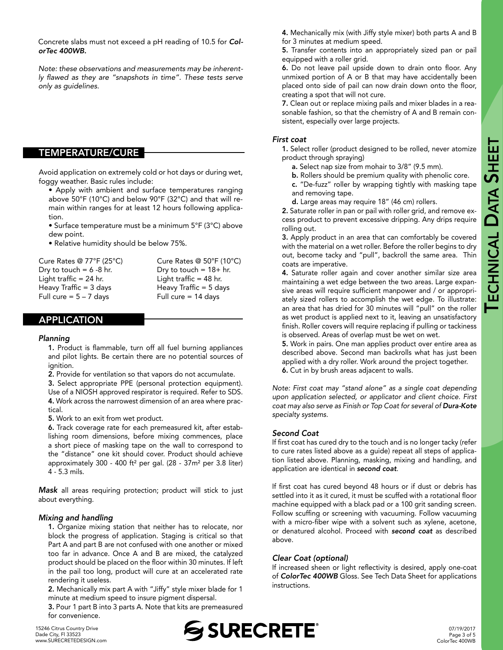Concrete slabs must not exceed a pH reading of 10.5 for *ColorTec 400WB.*

*Note: these observations and measurements may be inherent*ly flawed as they are "snapshots in time". These tests serve *only as guidelines.* 

#### TEMPERATURE/CURE

Avoid application on extremely cold or hot days or during wet, foggy weather. Basic rules include:

- Apply with ambient and surface temperatures ranging above 50°F (10°C) and below 90°F (32°C) and that will remain within ranges for at least 12 hours following application.
- Surface temperature must be a minimum 5°F (3°C) above dew point.
- Relative humidity should be below 75%.

Cure Rates @ 77°F (25°C) Cure Rates @ 50°F (10°C) Dry to touch =  $6 - 8$  hr. Dry to touch =  $18 + hr$ . Light traffic = 24 hr. Light traffic = 48 hr. Heavy Traffic =  $3 \text{ days}$  Heavy Traffic =  $5 \text{ days}$ Full cure  $= 5 - 7$  days Full cure  $= 14$  days

#### APPLICATION

#### *Planning*

1. Product is flammable, turn off all fuel burning appliances and pilot lights. Be certain there are no potential sources of ignition.

2. Provide for ventilation so that vapors do not accumulate.

3. Select appropriate PPE (personal protection equipment). Use of a NIOSH approved respirator is required. Refer to SDS. 4. Work across the narrowest dimension of an area where practical.

5. Work to an exit from wet product.

6. Track coverage rate for each premeasured kit, after establishing room dimensions, before mixing commences, place a short piece of masking tape on the wall to correspond to the "distance" one kit should cover. Product should achieve approximately 300 - 400 ft<sup>2</sup> per gal.  $(28 - 37m^2$  per 3.8 liter) 4 - 5.3 mils.

*Mask* all areas requiring protection; product will stick to just about everything.

#### *Mixing and handling*

1. Organize mixing station that neither has to relocate, nor block the progress of application. Staging is critical so that Part A and part B are not confused with one another or mixed too far in advance. Once A and B are mixed, the catalyzed product should be placed on the floor within 30 minutes. If left in the pail too long, product will cure at an accelerated rate rendering it useless.

2. Mechanically mix part A with "Jiffy" style mixer blade for 1 minute at medium speed to insure pigment dispersal.

3. Pour 1 part B into 3 parts A. Note that kits are premeasured for convenience.

4. Mechanically mix (with Jiffy style mixer) both parts A and B for 3 minutes at medium speed.

5. Transfer contents into an appropriately sized pan or pail equipped with a roller grid.

6. Do not leave pail upside down to drain onto floor. Any unmixed portion of A or B that may have accidentally been placed onto side of pail can now drain down onto the floor, creating a spot that will not cure.

7. Clean out or replace mixing pails and mixer blades in a reasonable fashion, so that the chemistry of A and B remain consistent, especially over large projects.

#### *First coat*

1. Select roller (product designed to be rolled, never atomize product through spraying)

- a. Select nap size from mohair to 3/8" (9.5 mm).
- b. Rollers should be premium quality with phenolic core. c. "De-fuzz" roller by wrapping tightly with masking tape and removing tape.
- d. Large areas may require 18" (46 cm) rollers.

2. Saturate roller in pan or pail with roller grid, and remove excess product to prevent excessive dripping. Any drips require rolling out.

3. Apply product in an area that can comfortably be covered with the material on a wet roller. Before the roller begins to dry out, become tacky and "pull", backroll the same area. Thin coats are imperative.

4. Saturate roller again and cover another similar size area maintaining a wet edge between the two areas. Large expansive areas will require sufficient manpower and / or appropriately sized rollers to accomplish the wet edge. To illustrate: an area that has dried for 30 minutes will "pull" on the roller as wet product is applied next to it, leaving an unsatisfactory finish. Roller covers will require replacing if pulling or tackiness is observed. Areas of overlap must be wet on wet.

5. Work in pairs. One man applies product over entire area as described above. Second man backrolls what has just been applied with a dry roller. Work around the project together. 6. Cut in by brush areas adjacent to walls.

*Note: First coat may "stand alone" as a single coat depending upon application selected, or applicator and client choice. First coat may also serve as Finish or Top Coat for several of Dura-Kote specialty systems.* 

#### *Second Coat*

If first coat has cured dry to the touch and is no longer tacky (refer to cure rates listed above as a guide) repeat all steps of application listed above. Planning, masking, mixing and handling, and application are identical in *second coat*.

If first coat has cured beyond 48 hours or if dust or debris has settled into it as it cured, it must be scuffed with a rotational floor machine equipped with a black pad or a 100 grit sanding screen. Follow scuffing or screening with vacuuming. Follow vacuuming with a micro-fiber wipe with a solvent such as xylene, acetone, or denatured alcohol. Proceed with *second coat* as described above.

#### *Clear Coat (optional)*

If increased sheen or light reflectivity is desired, apply one-coat of *ColorTec 400WB* Gloss. See Tech Data Sheet for applications instructions.



07/19/2017 Page 3 of 5 ColorTec 400WB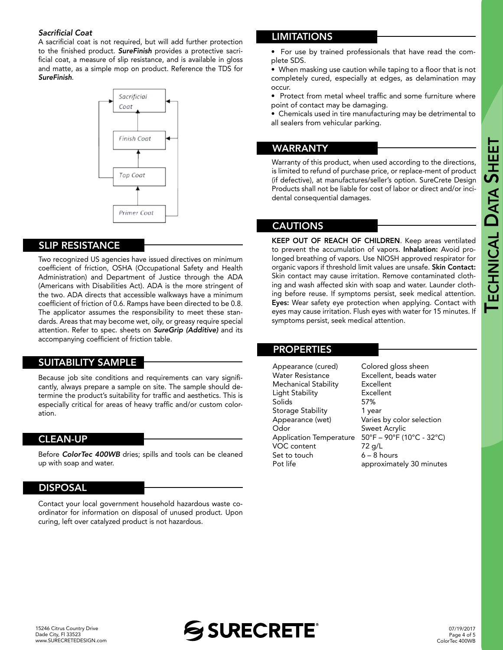# TECHNICAL DATA **SHEET**

#### Sacrificial Coat

A sacrificial coat is not required, but will add further protection to the finished product. *SureFinish* provides a protective sacrificial coat, a measure of slip resistance, and is available in gloss and matte, as a simple mop on product. Reference the TDS for *SureFinish*.



#### SLIP RESISTANCE

Two recognized US agencies have issued directives on minimum coefficient of friction, OSHA (Occupational Safety and Health Administration) and Department of Justice through the ADA (Americans with Disabilities Act). ADA is the more stringent of the two. ADA directs that accessible walkways have a minimum coefficient of friction of 0.6. Ramps have been directed to be 0.8. The applicator assumes the responsibility to meet these standards. Areas that may become wet, oily, or greasy require special attention. Refer to spec. sheets on *SureGrip (Additive)* and its accompanying coefficient of friction table.

#### SUITABILITY SAMPLE

Because job site conditions and requirements can vary significantly, always prepare a sample on site. The sample should determine the product's suitability for traffic and aesthetics. This is especially critical for areas of heavy traffic and/or custom coloration.

#### CLEAN-UP

Before *ColorTec 400WB* dries; spills and tools can be cleaned up with soap and water.

#### DISPOSAL

Contact your local government household hazardous waste coordinator for information on disposal of unused product. Upon curing, left over catalyzed product is not hazardous.

#### LIMITATIONS

• For use by trained professionals that have read the complete SDS.

• When masking use caution while taping to a floor that is not completely cured, especially at edges, as delamination may occur.

• Protect from metal wheel traffic and some furniture where point of contact may be damaging.

• Chemicals used in tire manufacturing may be detrimental to all sealers from vehicular parking.

#### WARRANTY

Warranty of this product, when used according to the directions, is limited to refund of purchase price, or replace-ment of product (if defective), at manufactures/seller's option. SureCrete Design Products shall not be liable for cost of labor or direct and/or incidental consequential damages.

#### CAUTIONS

KEEP OUT OF REACH OF CHILDREN. Keep areas ventilated to prevent the accumulation of vapors. Inhalation: Avoid prolonged breathing of vapors. Use NIOSH approved respirator for organic vapors if threshold limit values are unsafe. Skin Contact: Skin contact may cause irritation. Remove contaminated clothing and wash affected skin with soap and water. Launder clothing before reuse. If symptoms persist, seek medical attention. Eyes: Wear safety eye protection when applying. Contact with eyes may cause irritation. Flush eyes with water for 15 minutes. If symptoms persist, seek medical attention.

#### PROPERTIES

Appearance (cured) Colored gloss sheen Water Resistance Excellent, beads water Mechanical Stability Excellent Light Stability<br>
Solids
57% Solids Storage Stability **1** year Appearance (wet) Varies by color selection Odor Sweet Acrylic Application Temperature 50°F – 90°F (10°C - 32°C) VOC content 72 g/L Set to touch  $6 - 8$  hours Pot life **approximately 30 minutes**